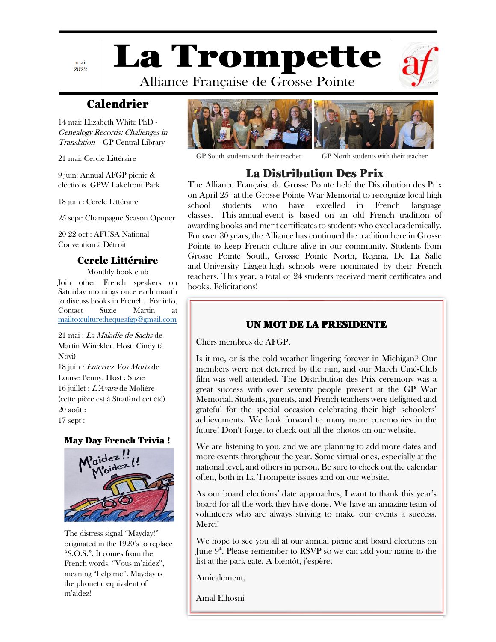mai 2022 **La Trompette** 

Alliance Française de Grosse Pointe



# Calendrier

14 mai: Elizabeth White PhD - Genealogy Records: Challenges in Translation – GP Central Library

21 mai: Cercle Littéraire

9 juin: Annual AFGP picnic & elections. GPW Lakefront Park

18 juin : Cercle Littéraire

25 sept: Champagne Season Opener

20-22 oct : AFUSA National Convention à Détroit

### Cercle Littéraire

Monthly book club Join other French speakers on Saturday mornings once each month to discuss books in French. For info, Contact Suzie Martin at <mailto:culturethequeafgp@gmail.com>

21 mai : La Maladie de Sachs de Martin Winckler. Host: Cindy (á Novi) 18 juin : Enterrez Vos Morts de Louise Penny. Host : Suzie 16 juillet : L'Avare de Molière (cette pièce est á Stratford cet été) 20 août : 17 sept :

May Day French Trivia !



The distress signal "Mayday!" originated in the 1920's to replace "S.O.S.". It comes from the French words, "Vous m'aidez", meaning "help me". Mayday is the phonetic equivalent of m'aidez!



GP South students with their teacher GP North students with their teacher

## La Distribution Des Prix

The Alliance Française de Grosse Pointe held the Distribution des Prix on April  $25<sup>th</sup>$  at the Grosse Pointe War Memorial to recognize local high school students who have excelled in French language classes. This annual event is based on an old French tradition of awarding books and merit certificates to students who excel academically. For over 30 years, the Alliance has continued the tradition here in Grosse Pointe to keep French culture alive in our community. Students from Grosse Pointe South, Grosse Pointe North, Regina, De La Salle and University Liggett high schools were nominated by their French teachers. This year, a total of 24 students received merit certificates and books. Félicitations!

### UN MOT DE LA PRESIDENTE

Chers membres de AFGP,

Is it me, or is the cold weather lingering forever in Michigan? Our members were not deterred by the rain, and our March Ciné-Club film was well attended. The Distribution des Prix ceremony was a great success with over seventy people present at the GP War Memorial. Students, parents, and French teachers were delighted and grateful for the special occasion celebrating their high schoolers' achievements. We look forward to many more ceremonies in the future! Don't forget to check out all the photos on our website.

We are listening to you, and we are planning to add more dates and more events throughout the year. Some virtual ones, especially at the national level, and others in person. Be sure to check out the calendar often, both in La Trompette issues and on our website.

As our board elections' date approaches, I want to thank this year's board for all the work they have done. We have an amazing team of volunteers who are always striving to make our events a success. Merci!

We hope to see you all at our annual picnic and board elections on June  $9^{\circ}$ . Please remember to RSVP so we can add your name to the list at the park gate. A bientôt, j'espère.

Amicalement,

Amal Elhosni